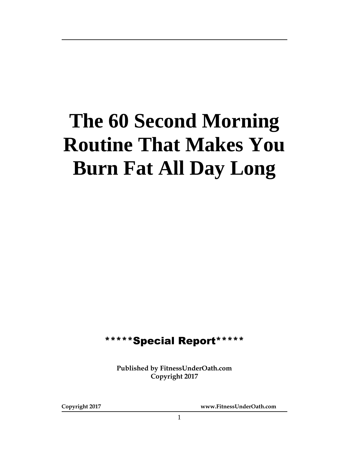# **The 60 Second Morning Routine That Makes You Burn Fat All Day Long**

## \*\*\*\*\*Special Report\*\*\*\*\*

**Published by FitnessUnderOath.com Copyright 2017**

**Copyright 2017 www.FitnessUnderOath.com**

1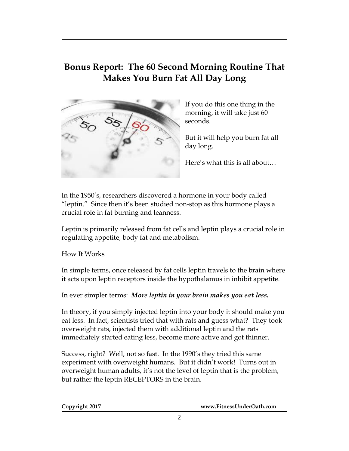### **Bonus Report: The 60 Second Morning Routine That Makes You Burn Fat All Day Long**



If you do this one thing in the morning, it will take just 60 seconds.

But it will help you burn fat all day long.

Here's what this is all about…

In the 1950's, researchers discovered a hormone in your body called "leptin." Since then it's been studied non-stop as this hormone plays a crucial role in fat burning and leanness.

Leptin is primarily released from fat cells and leptin plays a crucial role in regulating appetite, body fat and metabolism.

How It Works

In simple terms, once released by fat cells leptin travels to the brain where it acts upon leptin receptors inside the hypothalamus in inhibit appetite.

In ever simpler terms: *More leptin in your brain makes you eat less.*

In theory, if you simply injected leptin into your body it should make you eat less. In fact, scientists tried that with rats and guess what? They took overweight rats, injected them with additional leptin and the rats immediately started eating less, become more active and got thinner.

Success, right? Well, not so fast. In the 1990's they tried this same experiment with overweight humans. But it didn't work! Turns out in overweight human adults, it's not the level of leptin that is the problem, but rather the leptin RECEPTORS in the brain.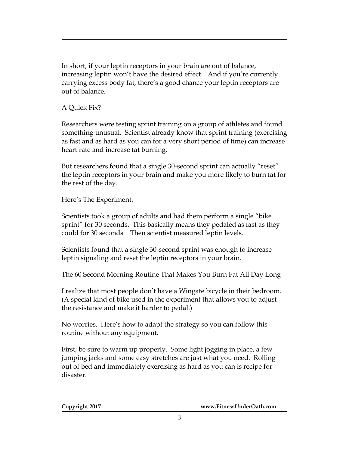In short, if your leptin receptors in your brain are out of balance, increasing leptin won't have the desired effect. And if you're currently carrying excess body fat, there's a good chance your leptin receptors are out of balance.

A Quick Fix?

Researchers were testing sprint training on a group of athletes and found something unusual. Scientist already know that sprint training (exercising as fast and as hard as you can for a very short period of time) can increase heart rate and increase fat burning.

But researchers found that a single 30-second sprint can actually "reset" the leptin receptors in your brain and make you more likely to burn fat for the rest of the day.

Here's The Experiment:

Scientists took a group of adults and had them perform a single "bike sprint" for 30 seconds. This basically means they pedaled as fast as they could for 30 seconds. Then scientist measured leptin levels.

Scientists found that a single 30-second sprint was enough to increase leptin signaling and reset the leptin receptors in your brain.

The 60 Second Morning Routine That Makes You Burn Fat All Day Long

I realize that most people don't have a Wingate bicycle in their bedroom. (A special kind of bike used in the experiment that allows you to adjust the resistance and make it harder to pedal.)

No worries. Here's how to adapt the strategy so you can follow this routine without any equipment.

First, be sure to warm up properly. Some light jogging in place, a few jumping jacks and some easy stretches are just what you need. Rolling out of bed and immediately exercising as hard as you can is recipe for disaster.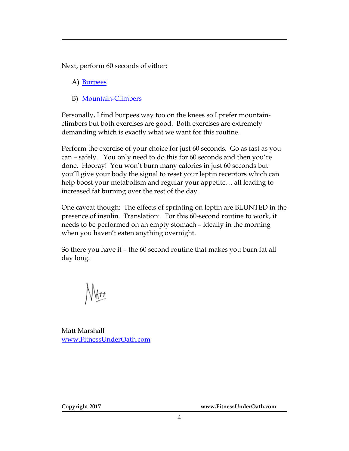Next, perform 60 seconds of either:

- A) [Burpees](http://www.exrx.net/Aerobic/Exercises/Burpee.html)
- B) [Mountain-Climbers](http://www.exrx.net/Aerobic/Exercises/MountainClimber.html)

Personally, I find burpees way too on the knees so I prefer mountainclimbers but both exercises are good. Both exercises are extremely demanding which is exactly what we want for this routine.

Perform the exercise of your choice for just 60 seconds. Go as fast as you can – safely. You only need to do this for 60 seconds and then you're done. Hooray! You won't burn many calories in just 60 seconds but you'll give your body the signal to reset your leptin receptors which can help boost your metabolism and regular your appetite… all leading to increased fat burning over the rest of the day.

One caveat though: The effects of sprinting on leptin are BLUNTED in the presence of insulin. Translation: For this 60-second routine to work, it needs to be performed on an empty stomach – ideally in the morning when you haven't eaten anything overnight.

So there you have it – the 60 second routine that makes you burn fat all day long.

∥∖∤r≠

Matt Marshall [www.FitnessUnderOath.com](http://www.fitnessunderoath.com/)